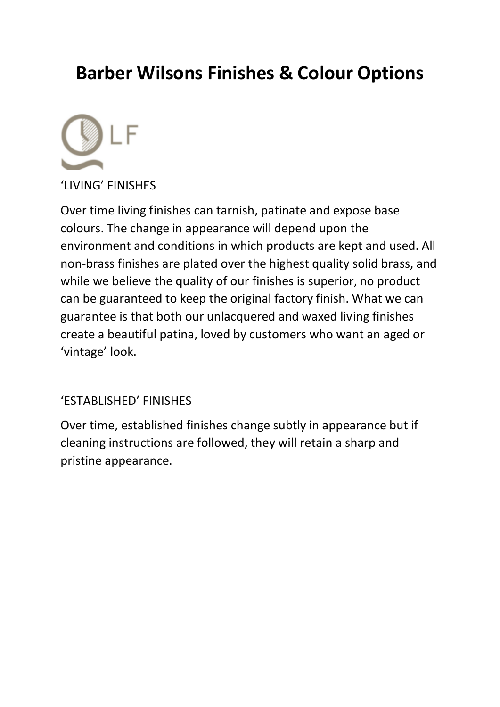# **Barber Wilsons Finishes & Colour Options**



'LIVING' FINISHES

Over time living finishes can tarnish, patinate and expose base colours. The change in appearance will depend upon the environment and conditions in which products are kept and used. All non-brass finishes are plated over the highest quality solid brass, and while we believe the quality of our finishes is superior, no product can be guaranteed to keep the original factory finish. What we can guarantee is that both our unlacquered and waxed living finishes create a beautiful patina, loved by customers who want an aged or 'vintage' look.

# 'ESTABLISHED' FINISHES

Over time, established finishes change subtly in appearance but if cleaning instructions are followed, they will retain a sharp and pristine appearance.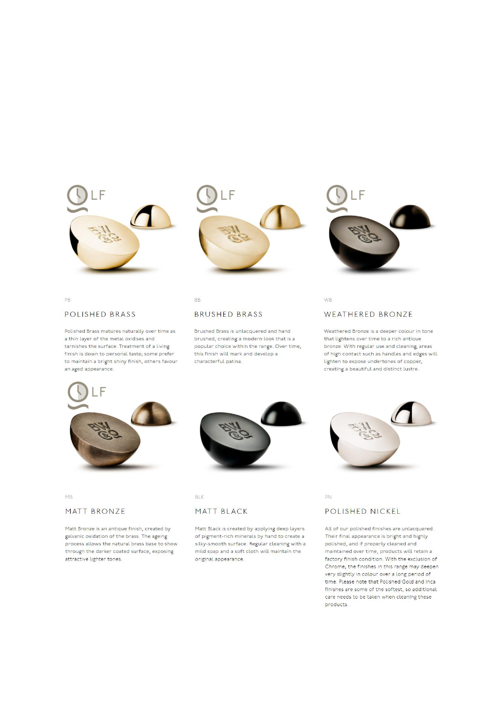





PB

#### POLISHED BRASS

Polished Brass matures naturally over time as a thin layer of the metal oxidises and tarnishes the surface. Treatment of a living finish is down to personal taste; some prefer to maintain a bright shiny finish, others favour an aged appearance.

# BB

## **BRUSHED BRASS**

Brushed Brass is unlacquered and hand brushed, creating a modern look that is a popular choice within the range. Over time, this finish will mark and develop a characterful patina.

#### WEATHERED BRONZE

**WB** 

Weathered Bronze is a deeper colour in tone that lightens over time to a rich antique bronze. With regular use and cleaning, areas of high contact such as handles and edges will lighten to expose undertones of copper, creating a beautiful and distinct lustre.





MB

## MATT BRONZE

Matt Bronze is an antique finish, created by galvanic oxidation of the brass. The ageing process allows the natural brass base to show through the darker coated surface, exposing attractive lighter tones.

#### BLK

## MATT BLACK

Matt Black is created by applying deep layers of pigment-rich minerals by hand to create a silky-smooth surface. Regular cleaning with a mild soap and a soft cloth will maintain the original appearance.



# **PN**

### POLISHED NICKEL

All of our polished finishes are unlacquered. Their final appearance is bright and highly polished, and if properly cleaned and maintained over time, products will retain a factory finish condition. With the exclusion of Chrome, the finishes in this range may deepen very slightly in colour over a long period of time. Please note that Polished Gold and Inca finishes are some of the softest, so additional care needs to be taken when cleaning these products.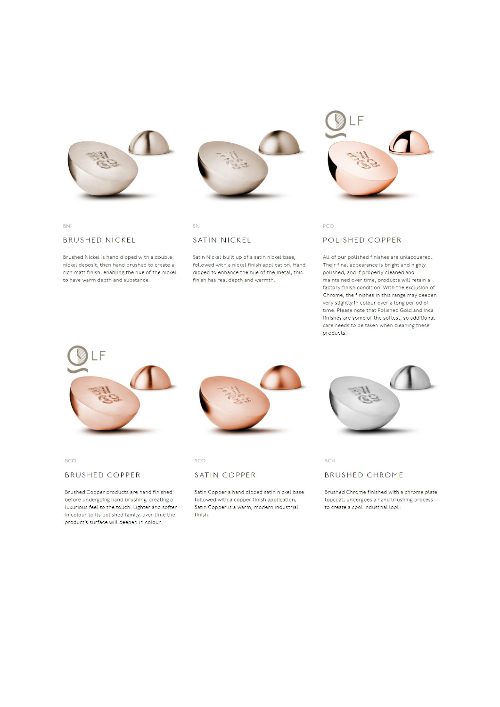

BNI

#### **BRUSHED NICKEL**

Brushed Nickel is hand dipped with a double nickel deposit, then hand brushed to create a rich matt finish, enabling the hue of the nickel to have warm depth and substance.



SN

#### SATIN NICKEL

Satin Nickel built up of a satin nickel base, followed with a nickel finish application. Hand dipped to enhance the hue of the metal, this finish has real depth and warmth.



PCO

#### POLISHED COPPER

All of our polished finishes are unlacquered. Their final appearance is bright and highly polished, and if properly cleaned and maintained over time, products will retain a factory finish condition. With the exclusion of Chrome, the finishes in this range may deepen very slightly in colour over a long period of time. Please note that Polished Gold and Inca finishes are some of the softest, so additional care needs to be taken when cleaning these products.



**BCO** 

### **BRUSHED COPPER**

Brushed Copper products are hand finished before undergoing hand brushing, creating a luxurious feel to the touch. Lighter and softer in colour to its polished family, over time the product's surface will deepen in colour.



sco

#### SATIN COPPER

Satin Copper a hand dipped satin nickel base followed with a copper finish application, Satin Copper is a warm, modern industrial finish.



BCH

## **BRUSHED CHROME**

Brushed Chrome finished with a chrome plate topcoat, undergoes a hand brushing process to create a cool industrial look.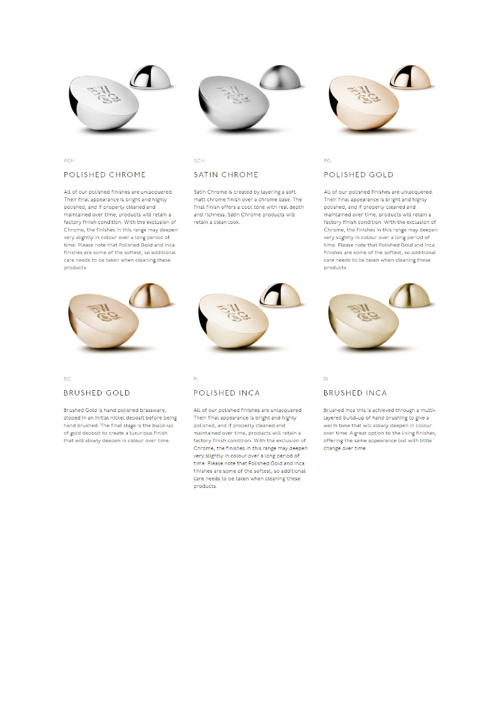

## PCH

#### POLISHED CHROME

All of our polished finishes are unlacquered. Their final appearance is bright and highly polished, and if properly cleaned and maintained over time, products will retain a factory finish condition. With the exclusion of Chrome, the finishes in this range may deepen very slightly in colour over a long period of time. Please note that Polished Gold and Inca finishes are some of the softest, so additional care needs to be taken when cleaning these products



SCH

### SATIN CHROME

Satin Chrome is created by layering a soft matt chrome finish over a chrome base. The final finish offers a cool tone with real depth and richness. Satin Chrome products will retain a clean look.



## POLISHED GOLD

PG

All of our polished finishes are unlacquered. Their final appearance is bright and highly polished, and if properly cleaned and maintained over time, products will retain a factory finish condition. With the exclusion of Chrome, the finishes in this range may deepen very slightly in colour over a long period of time. Please note that Polished Gold and Inca finishes are some of the softest, so additional care needs to be taken when cleaning these products.



 $BG<sub>1</sub>$ 

#### **BRUSHED GOLD**

Brushed Gold is hand polished brassware, dipped in an initial nickel deposit before being hand brushed. The final stage is the build-up of gold deposit to create a luxurious finish that will slowly deepen in colour over time.

#### $\overline{P}$

## POLISHED INCA

All of our polished finishes are unlacquered. Their final appearance is bright and highly polished, and if properly cleaned and maintained over time, products will retain a factory finish condition. With the exclusion of Chrome, the finishes in this range may deepen very slightly in colour over a long period of time. Please note that Polished Gold and Inca finishes are some of the softest, so additional care needs to be taken when cleaning these products

#### **BRUSHED INCA**

BI

Brushed Inca this is achieved through a multilayered build-up of hand brushing to give a warm tone that will slowly deepen in colour over time. A great option to the living finishes, offering the same appearance but with little change over time.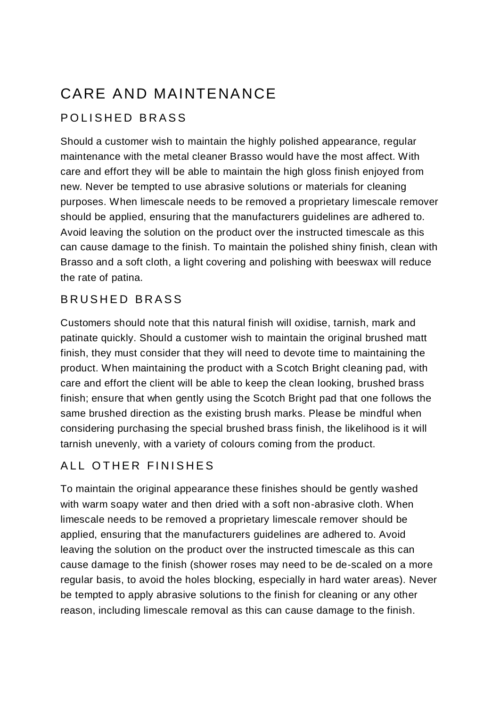# CARE AND MAINTENANCE

# POLISHED BRASS

Should a customer wish to maintain the highly polished appearance, regular maintenance with the metal cleaner Brasso would have the most affect. With care and effort they will be able to maintain the high gloss finish enjoyed from new. Never be tempted to use abrasive solutions or materials for cleaning purposes. When limescale needs to be removed a proprietary limescale remover should be applied, ensuring that the manufacturers guidelines are adhered to. Avoid leaving the solution on the product over the instructed timescale as this can cause damage to the finish. To maintain the polished shiny finish, clean with Brasso and a soft cloth, a light covering and polishing with beeswax will reduce the rate of patina.

# BRUSHED BRASS

Customers should note that this natural finish will oxidise, tarnish, mark and patinate quickly. Should a customer wish to maintain the original brushed matt finish, they must consider that they will need to devote time to maintaining the product. When maintaining the product with a Scotch Bright cleaning pad, with care and effort the client will be able to keep the clean looking, brushed brass finish; ensure that when gently using the Scotch Bright pad that one follows the same brushed direction as the existing brush marks. Please be mindful when considering purchasing the special brushed brass finish, the likelihood is it will tarnish unevenly, with a variety of colours coming from the product.

# ALL OTHER FINISHES

To maintain the original appearance these finishes should be gently washed with warm soapy water and then dried with a soft non-abrasive cloth. When limescale needs to be removed a proprietary limescale remover should be applied, ensuring that the manufacturers guidelines are adhered to. Avoid leaving the solution on the product over the instructed timescale as this can cause damage to the finish (shower roses may need to be de-scaled on a more regular basis, to avoid the holes blocking, especially in hard water areas). Never be tempted to apply abrasive solutions to the finish for cleaning or any other reason, including limescale removal as this can cause damage to the finish.